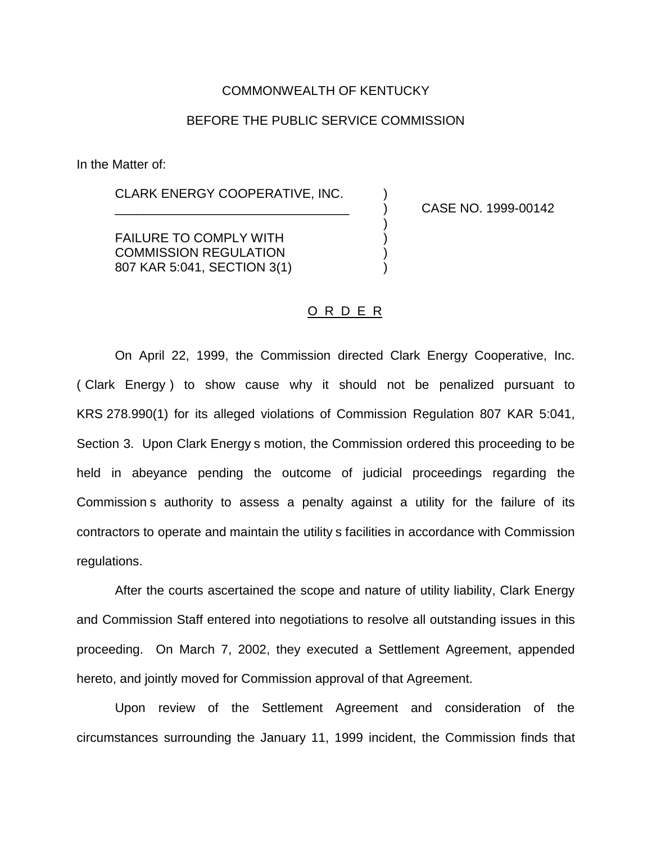### COMMONWEALTH OF KENTUCKY

# BEFORE THE PUBLIC SERVICE COMMISSION

In the Matter of:

CLARK ENERGY COOPERATIVE, INC.

\_\_\_\_\_\_\_\_\_\_\_\_\_\_\_\_\_\_\_\_\_\_\_\_\_\_\_\_\_\_\_\_\_ ) CASE NO. 1999-00142

FAILURE TO COMPLY WITH  $($ COMMISSION REGULATION ) 807 KAR 5:041, SECTION 3(1) (1)

## O R D E R

)

On April 22, 1999, the Commission directed Clark Energy Cooperative, Inc. ( Clark Energy ) to show cause why it should not be penalized pursuant to KRS 278.990(1) for its alleged violations of Commission Regulation 807 KAR 5:041, Section 3. Upon Clark Energy s motion, the Commission ordered this proceeding to be held in abeyance pending the outcome of judicial proceedings regarding the Commission s authority to assess a penalty against a utility for the failure of its contractors to operate and maintain the utility s facilities in accordance with Commission regulations.

After the courts ascertained the scope and nature of utility liability, Clark Energy and Commission Staff entered into negotiations to resolve all outstanding issues in this proceeding. On March 7, 2002, they executed a Settlement Agreement, appended hereto, and jointly moved for Commission approval of that Agreement.

Upon review of the Settlement Agreement and consideration of the circumstances surrounding the January 11, 1999 incident, the Commission finds that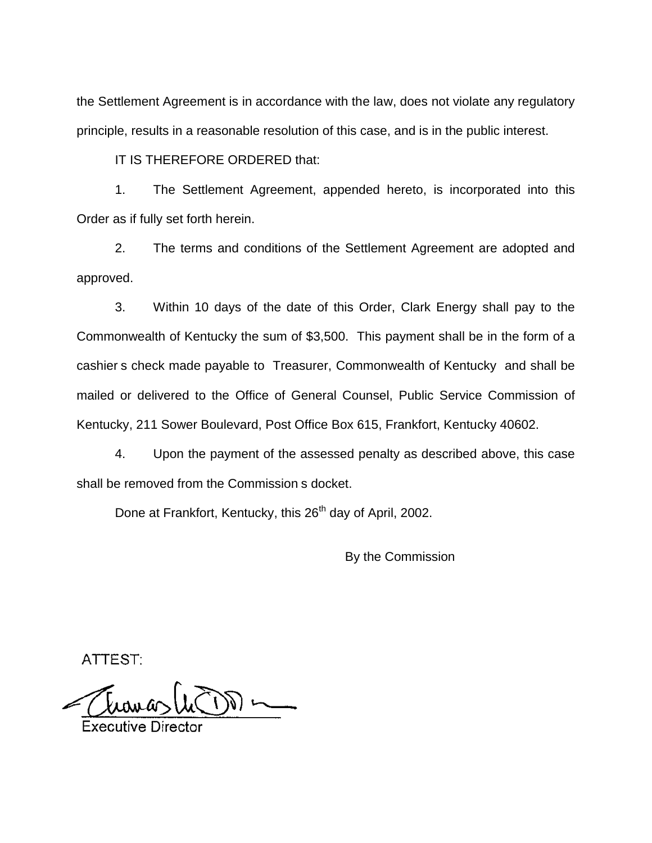the Settlement Agreement is in accordance with the law, does not violate any regulatory principle, results in a reasonable resolution of this case, and is in the public interest.

IT IS THEREFORE ORDERED that:

1. The Settlement Agreement, appended hereto, is incorporated into this Order as if fully set forth herein.

2. The terms and conditions of the Settlement Agreement are adopted and approved.

3. Within 10 days of the date of this Order, Clark Energy shall pay to the Commonwealth of Kentucky the sum of \$3,500. This payment shall be in the form of a cashier s check made payable to Treasurer, Commonwealth of Kentucky and shall be mailed or delivered to the Office of General Counsel, Public Service Commission of Kentucky, 211 Sower Boulevard, Post Office Box 615, Frankfort, Kentucky 40602.

4. Upon the payment of the assessed penalty as described above, this case shall be removed from the Commission s docket.

Done at Frankfort, Kentucky, this 26<sup>th</sup> day of April, 2002.

By the Commission

ATTEST: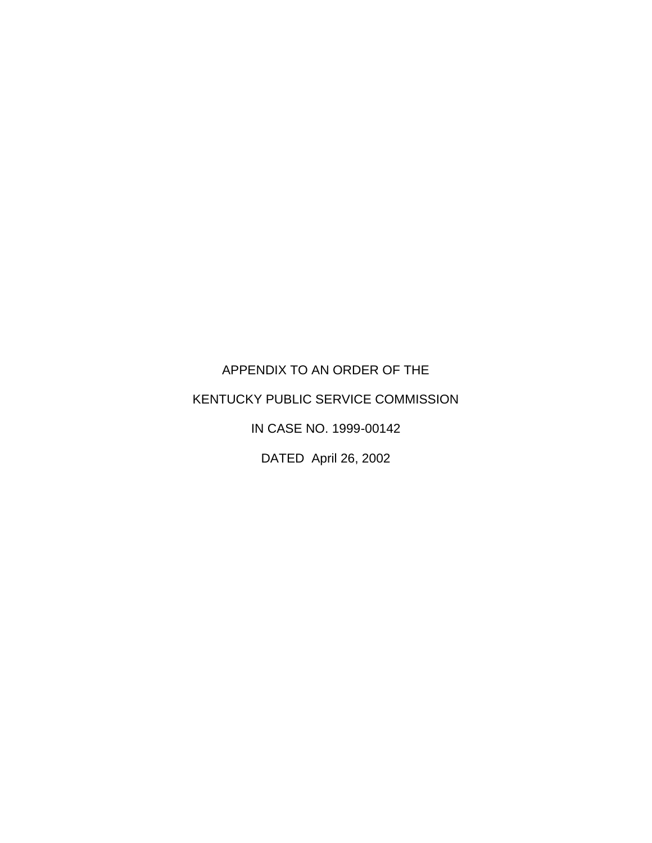APPENDIX TO AN ORDER OF THE KENTUCKY PUBLIC SERVICE COMMISSION IN CASE NO. 1999-00142

DATED April 26, 2002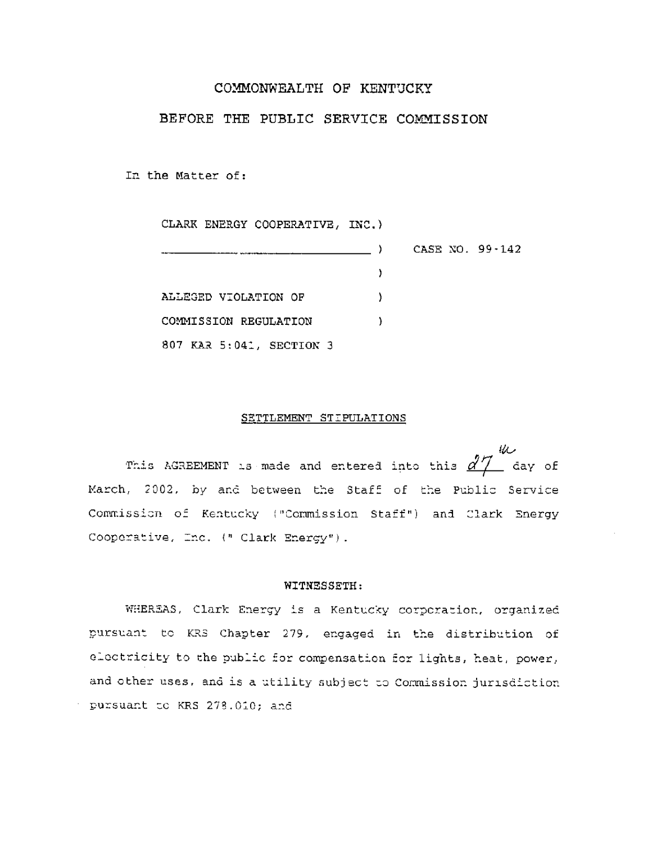### COMMONWEALTH OF KENTUCKY

## BEFORE THE PUBLIC SERVICE COMMISSION

In the Matter of:

CLARK ENERGY COOPERATIVE, INC.)

|                          |  | CASE NO. 99-142 |
|--------------------------|--|-----------------|
|                          |  |                 |
| ALLEGED VIOLATION OF     |  |                 |
| COMMISSION REGULATION    |  |                 |
| 807 KAR 5:041, SECTION 3 |  |                 |

#### SETTLEMENT STIPULATIONS

化 This AGREEMENT is made and entered into this  $d\mathcal{T}$  day of March, 2002, by and between the Staff of the Public Service Commission of Kentucky ("Commission Staff") and Clark Energy Cooperative, Inc. (" Clark Energy").

### WITNESSETH:

WHEREAS, Clark Energy is a Kentucky corporation, organized pursuant to KRS Chapter 279, engaged in the distribution of electricity to the public for compensation for lights, heat, power, and other uses, and is a utility subject to Commission jurisdiction pursuant to KRS 278.010; and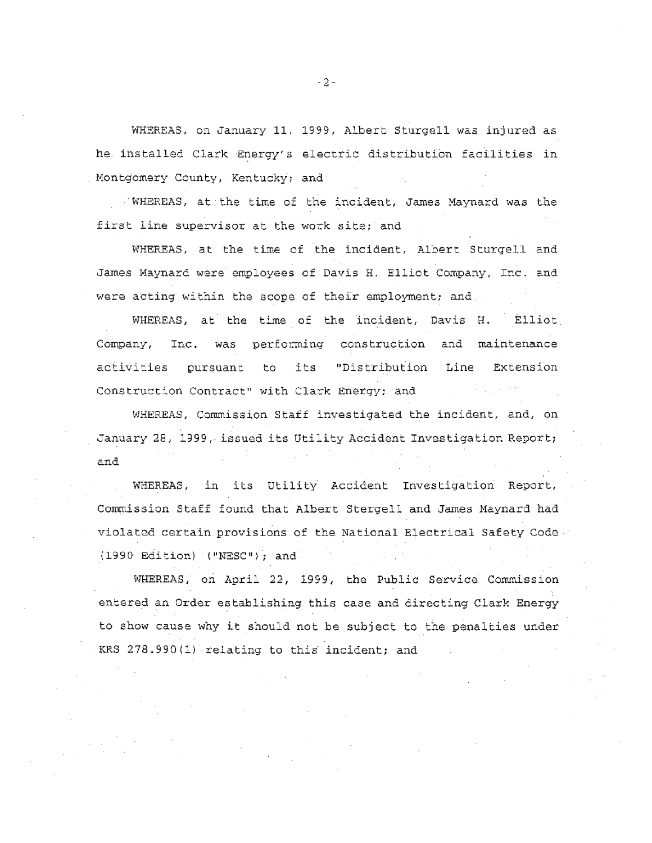WHEREAS, on January 11, 1999, Albert Sturgell was injured as he installed Clark Energy's electric distribution facilities in Montgomery County, Kentucky; and

WHEREAS, at the time of the incident, James Maynard was the first line supervisor at the work site; and

WHEREAS, at the time of the incident, Albert Sturgell and James Maynard were employees of Davis H. Elliot Company, Inc. and were acting within the scope of their employment; and

WHEREAS, at the time of the incident, Davis H. Elliot Company, Inc. was performing construction and maintenance activities pursuant to its "Distribution Line Extension Construction Contract" with Clark Energy; and

WHEREAS, Commission Staff investigated the incident, and, on January 28, 1999, issued its Utility Accident Investigation Report; and

WHEREAS, in its Utility Accident Investigation Report, Commission Staff found that Albert Stergell and James Maynard had violated certain provisions of the National Electrical Safety Code  $(1990$  Edition) ("NESC"); and

WHEREAS, on April 22, 1999, the Public Service Commission entered an Order establishing this case and directing Clark Energy to show cause why it should not be subject to the penalties under KRS 278.990(1) relating to this incident; and

 $-2-$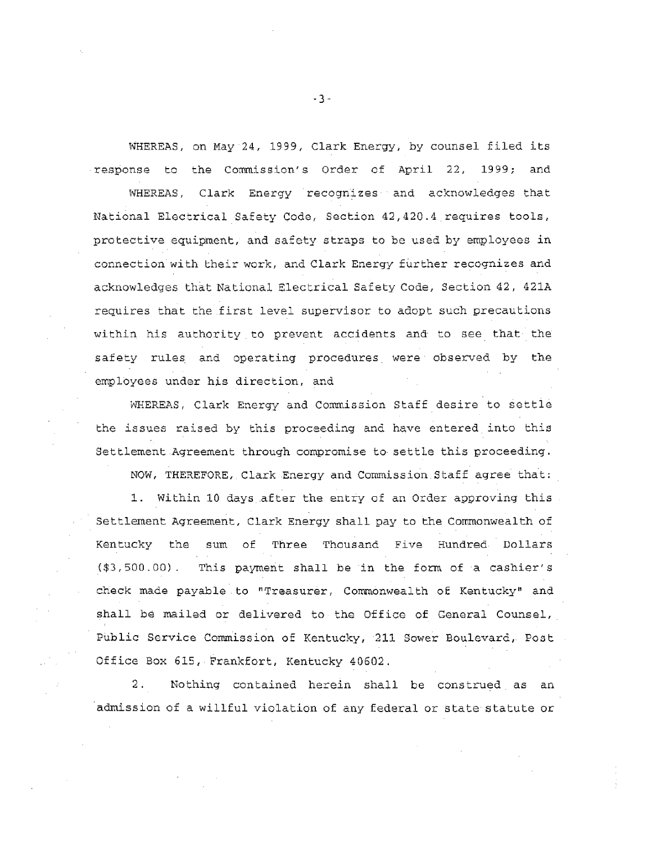WHEREAS, on May 24, 1999, Clark Energy, by counsel filed its response to the Commission's Order of April 22, 1999; and

WHEREAS, Clark Energy recognizes and acknowledges that National Electrical Safety Code, Section 42,420.4 requires tools, protective equipment, and safety straps to be used by employees in connection with their work, and Clark Energy further recognizes and acknowledges that National Electrical Safety Code, Section 42, 421A requires that the first level supervisor to adopt such precautions within his authority to prevent accidents and to see that the safety rules and operating procedures were observed by the employees under his direction, and

WHEREAS, Clark Energy and Commission Staff desire to settle the issues raised by this proceeding and have entered into this Settlement Agreement through compromise to settle this proceeding.

NOW, THEREFORE, Clark Energy and Commission Staff agree that:

1. Within 10 days after the entry of an Order approving this Settlement Agreement, Clark Energy shall pay to the Commonwealth of Kentucky the sum of Three Thousand Five Hundred Dollars (\$3,500.00). This payment shall be in the form of a cashier's check made payable to "Treasurer, Commonwealth of Kentucky" and shall be mailed or delivered to the Office of General Counsel, Public Service Commission of Kentucky, 211 Sower Boulevard, Post Office Box 615, Frankfort, Kentucky 40602.

Nothing contained herein shall be construed as an  $2$  . admission of a willful violation of any federal or state statute or

 $-3-$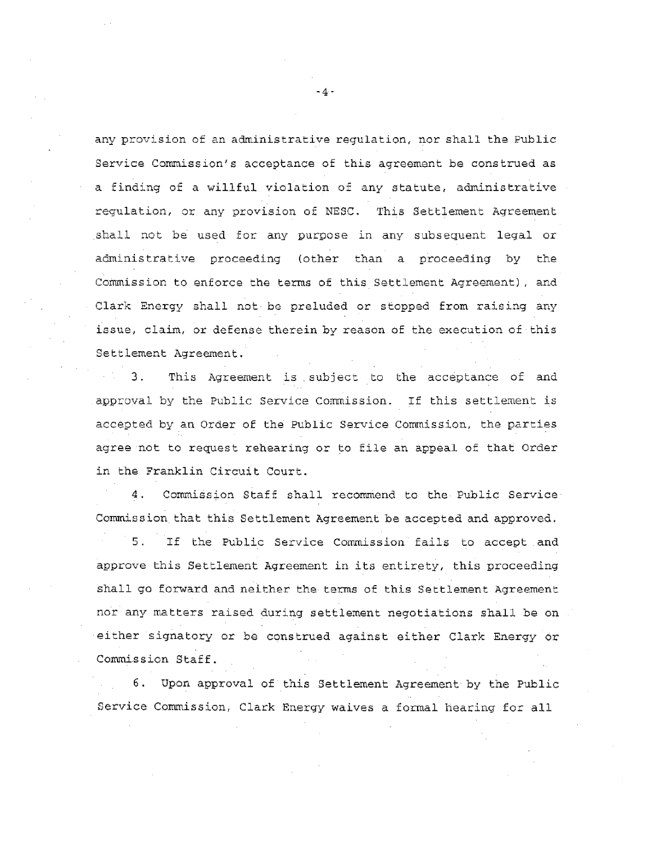any provision of an administrative regulation, nor shall the Public Service Commission's acceptance of this agreement be construed as a finding of a willful violation of any statute, administrative regulation, or any provision of NESC. This Settlement Agreement shall not be used for any purpose in any subsequent legal or administrative proceeding (other than a proceeding by the Commission to enforce the terms of this Settlement Agreement), and Clark Energy shall not be preluded or stopped from raising any issue, claim, or defense therein by reason of the execution of this Settlement Agreement.

3. This Agreement is subject to the acceptance of and approval by the Public Service Commission. If this settlement is accepted by an Order of the Public Service Commission, the parties agree not to request rehearing or to file an appeal of that Order in the Franklin Circuit Court.

4. Commission Staff shall recommend to the Public Service Commission that this Settlement Agreement be accepted and approved.  $5.$ If the Public Service Commission fails to accept and approve this Settlement Agreement in its entirety, this proceeding shall go forward and neither the terms of this Settlement Agreement nor any matters raised during settlement negotiations shall be on either signatory or be construed against either Clark Energy or Commission Staff.

6. Upon approval of this Settlement Agreement by the Public Service Commission, Clark Energy waives a formal hearing for all

 $-4-$